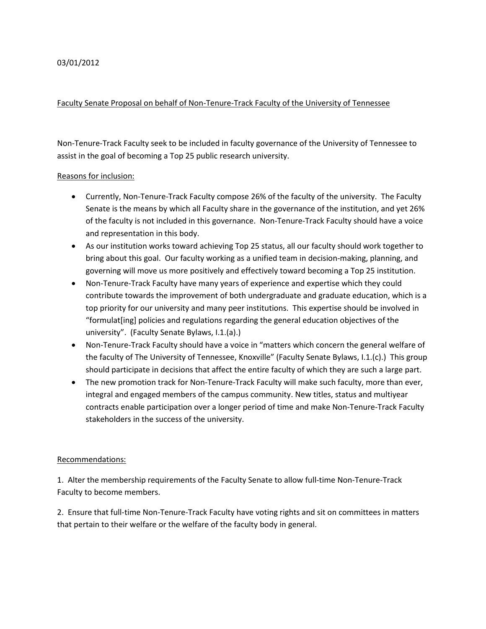# 03/01/2012

# Faculty Senate Proposal on behalf of Non-Tenure-Track Faculty of the University of Tennessee

Non-Tenure-Track Faculty seek to be included in faculty governance of the University of Tennessee to assist in the goal of becoming a Top 25 public research university.

### Reasons for inclusion:

- Currently, Non-Tenure-Track Faculty compose 26% of the faculty of the university. The Faculty Senate is the means by which all Faculty share in the governance of the institution, and yet 26% of the faculty is not included in this governance. Non-Tenure-Track Faculty should have a voice and representation in this body.
- As our institution works toward achieving Top 25 status, all our faculty should work together to bring about this goal. Our faculty working as a unified team in decision-making, planning, and governing will move us more positively and effectively toward becoming a Top 25 institution.
- Non-Tenure-Track Faculty have many years of experience and expertise which they could contribute towards the improvement of both undergraduate and graduate education, which is a top priority for our university and many peer institutions. This expertise should be involved in "formulat[ing] policies and regulations regarding the general education objectives of the university". (Faculty Senate Bylaws, I.1.(a).)
- Non-Tenure-Track Faculty should have a voice in "matters which concern the general welfare of the faculty of The University of Tennessee, Knoxville" (Faculty Senate Bylaws, I.1.(c).) This group should participate in decisions that affect the entire faculty of which they are such a large part.
- The new promotion track for Non-Tenure-Track Faculty will make such faculty, more than ever, integral and engaged members of the campus community. New titles, status and multiyear contracts enable participation over a longer period of time and make Non-Tenure-Track Faculty stakeholders in the success of the university.

### Recommendations:

1. Alter the membership requirements of the Faculty Senate to allow full-time Non-Tenure-Track Faculty to become members.

2. Ensure that full-time Non-Tenure-Track Faculty have voting rights and sit on committees in matters that pertain to their welfare or the welfare of the faculty body in general.